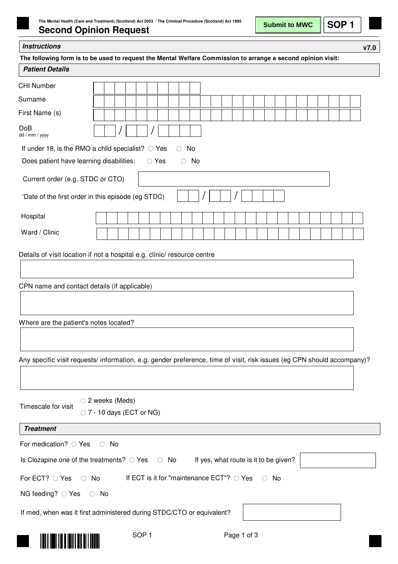## **Second Opinion Request**

**Submit to MWC**

| Instructions |  |
|--------------|--|
|--------------|--|

**v7.0**

| The following form is to be used to request the Mental Welfare Commission to arrange a second opinion visit:            |            |            |  |                  |  |                |            |                                                    |  |                                       |             |  |            |  |  |  |  |  |
|-------------------------------------------------------------------------------------------------------------------------|------------|------------|--|------------------|--|----------------|------------|----------------------------------------------------|--|---------------------------------------|-------------|--|------------|--|--|--|--|--|
| <b>Patient Details</b>                                                                                                  |            |            |  |                  |  |                |            |                                                    |  |                                       |             |  |            |  |  |  |  |  |
| <b>CHI Number</b>                                                                                                       |            |            |  |                  |  |                |            |                                                    |  |                                       |             |  |            |  |  |  |  |  |
| Surname                                                                                                                 |            |            |  |                  |  |                |            |                                                    |  |                                       |             |  |            |  |  |  |  |  |
| First Name (s)                                                                                                          |            |            |  |                  |  |                |            |                                                    |  |                                       |             |  |            |  |  |  |  |  |
| <b>DoB</b><br>dd / mm / yyyy                                                                                            |            |            |  |                  |  |                |            |                                                    |  |                                       |             |  |            |  |  |  |  |  |
| If under 18, is the RMO a child specialist? $\circ$ Yes                                                                 |            |            |  |                  |  |                | $\circ$ No |                                                    |  |                                       |             |  |            |  |  |  |  |  |
| Does patient have learning disabilities:                                                                                |            |            |  |                  |  | $\bigcirc$ Yes |            | $\circ$ No                                         |  |                                       |             |  |            |  |  |  |  |  |
| Current order (e.g. STDC or CTO)                                                                                        |            |            |  |                  |  |                |            |                                                    |  |                                       |             |  |            |  |  |  |  |  |
| 'Date of the first order in this episode (eg STDC)                                                                      |            |            |  |                  |  |                |            |                                                    |  |                                       |             |  |            |  |  |  |  |  |
| Hospital                                                                                                                |            |            |  |                  |  |                |            |                                                    |  |                                       |             |  |            |  |  |  |  |  |
| Ward / Clinic                                                                                                           |            |            |  |                  |  |                |            |                                                    |  |                                       |             |  |            |  |  |  |  |  |
| Details of visit location if not a hospital e.g. clinic/ resource centre                                                |            |            |  |                  |  |                |            |                                                    |  |                                       |             |  |            |  |  |  |  |  |
|                                                                                                                         |            |            |  |                  |  |                |            |                                                    |  |                                       |             |  |            |  |  |  |  |  |
|                                                                                                                         |            |            |  |                  |  |                |            |                                                    |  |                                       |             |  |            |  |  |  |  |  |
| CPN name and contact details (if applicable)                                                                            |            |            |  |                  |  |                |            |                                                    |  |                                       |             |  |            |  |  |  |  |  |
|                                                                                                                         |            |            |  |                  |  |                |            |                                                    |  |                                       |             |  |            |  |  |  |  |  |
|                                                                                                                         |            |            |  |                  |  |                |            |                                                    |  |                                       |             |  |            |  |  |  |  |  |
| Where are the patient's notes located?                                                                                  |            |            |  |                  |  |                |            |                                                    |  |                                       |             |  |            |  |  |  |  |  |
|                                                                                                                         |            |            |  |                  |  |                |            |                                                    |  |                                       |             |  |            |  |  |  |  |  |
| Any specific visit requests/ information, e.g. gender preference, time of visit, risk issues (eg CPN should accompany)? |            |            |  |                  |  |                |            |                                                    |  |                                       |             |  |            |  |  |  |  |  |
|                                                                                                                         |            |            |  |                  |  |                |            |                                                    |  |                                       |             |  |            |  |  |  |  |  |
|                                                                                                                         |            |            |  |                  |  |                |            |                                                    |  |                                       |             |  |            |  |  |  |  |  |
| ○ 2 weeks (Meds)                                                                                                        |            |            |  |                  |  |                |            |                                                    |  |                                       |             |  |            |  |  |  |  |  |
| Timescale for visit<br>$\circ$ 7 - 10 days (ECT or NG)                                                                  |            |            |  |                  |  |                |            |                                                    |  |                                       |             |  |            |  |  |  |  |  |
| <b>Treatment</b>                                                                                                        |            |            |  |                  |  |                |            |                                                    |  |                                       |             |  |            |  |  |  |  |  |
| For medication? ○ Yes                                                                                                   |            | $\circ$ No |  |                  |  |                |            |                                                    |  |                                       |             |  |            |  |  |  |  |  |
| Is Clozapine one of the treatments? $\circ$ Yes $\circ$ No                                                              |            |            |  |                  |  |                |            |                                                    |  | If yes, what route is it to be given? |             |  |            |  |  |  |  |  |
| For ECT? O Yes<br>$\circ$ No                                                                                            |            |            |  |                  |  |                |            | If ECT is it for "maintenance ECT"? $\bigcirc$ Yes |  |                                       |             |  | $\circ$ No |  |  |  |  |  |
| NG feeding? $\circ$ Yes                                                                                                 | $\circ$ No |            |  |                  |  |                |            |                                                    |  |                                       |             |  |            |  |  |  |  |  |
| If med, when was it first administered during STDC/CTO or equivalent?                                                   |            |            |  |                  |  |                |            |                                                    |  |                                       |             |  |            |  |  |  |  |  |
|                                                                                                                         |            |            |  |                  |  |                |            |                                                    |  |                                       |             |  |            |  |  |  |  |  |
|                                                                                                                         |            |            |  | SOP <sub>1</sub> |  |                |            |                                                    |  |                                       | Page 1 of 3 |  |            |  |  |  |  |  |
|                                                                                                                         |            |            |  |                  |  |                |            |                                                    |  |                                       |             |  |            |  |  |  |  |  |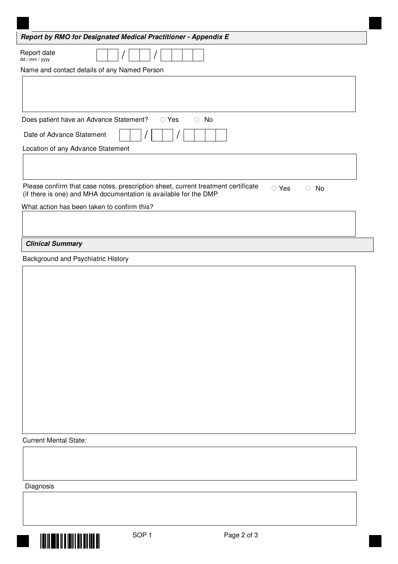| Report by RMO for Designated Medical Practitioner - Appendix E                                                       |
|----------------------------------------------------------------------------------------------------------------------|
| Report date<br>dd / mm / yyyy                                                                                        |
| Name and contact details of any Named Person                                                                         |
|                                                                                                                      |
|                                                                                                                      |
|                                                                                                                      |
| $\bigcirc$ No<br>Does patient have an Advance Statement?<br>$\circ$ Yes                                              |
| Date of Advance Statement                                                                                            |
| Location of any Advance Statement                                                                                    |
|                                                                                                                      |
|                                                                                                                      |
| Please confirm that case notes, prescription sheet, current treatment certificate<br>$\circ$ Yes<br>No<br>$\bigcirc$ |
| (if there is one) and MHA documentation is available for the DMP                                                     |
| What action has been taken to confirm this?                                                                          |
|                                                                                                                      |
|                                                                                                                      |
| <b>Clinical Summary</b>                                                                                              |
| Background and Psychiatric History                                                                                   |
|                                                                                                                      |
|                                                                                                                      |

Current Mental State:

Diagnosis